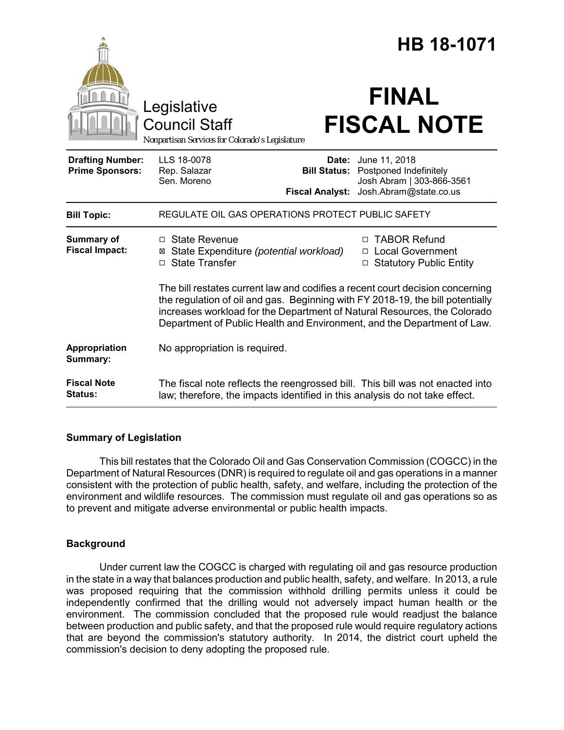|                                                   | Legislative<br><b>Council Staff</b><br>Nonpartisan Services for Colorado's Legislature                                                                                                                                                                                                                                 |  | HB 18-1071<br><b>FINAL</b><br><b>FISCAL NOTE</b>                                                                                |
|---------------------------------------------------|------------------------------------------------------------------------------------------------------------------------------------------------------------------------------------------------------------------------------------------------------------------------------------------------------------------------|--|---------------------------------------------------------------------------------------------------------------------------------|
| <b>Drafting Number:</b><br><b>Prime Sponsors:</b> | LLS 18-0078<br>Rep. Salazar<br>Sen. Moreno<br><b>Fiscal Analyst:</b>                                                                                                                                                                                                                                                   |  | <b>Date:</b> June 11, 2018<br><b>Bill Status:</b> Postponed Indefinitely<br>Josh Abram   303-866-3561<br>Josh.Abram@state.co.us |
| <b>Bill Topic:</b>                                | REGULATE OIL GAS OPERATIONS PROTECT PUBLIC SAFETY                                                                                                                                                                                                                                                                      |  |                                                                                                                                 |
| <b>Summary of</b><br><b>Fiscal Impact:</b>        | $\Box$ State Revenue<br>State Expenditure (potential workload)<br>⊠<br><b>State Transfer</b><br>п                                                                                                                                                                                                                      |  | <b>TABOR Refund</b><br>п<br>□ Local Government<br><b>Statutory Public Entity</b><br>$\Box$                                      |
|                                                   | The bill restates current law and codifies a recent court decision concerning<br>the regulation of oil and gas. Beginning with FY 2018-19, the bill potentially<br>increases workload for the Department of Natural Resources, the Colorado<br>Department of Public Health and Environment, and the Department of Law. |  |                                                                                                                                 |
| Appropriation<br>Summary:                         | No appropriation is required.                                                                                                                                                                                                                                                                                          |  |                                                                                                                                 |
| <b>Fiscal Note</b><br><b>Status:</b>              | The fiscal note reflects the reengrossed bill. This bill was not enacted into<br>law; therefore, the impacts identified in this analysis do not take effect.                                                                                                                                                           |  |                                                                                                                                 |

# **Summary of Legislation**

This bill restates that the Colorado Oil and Gas Conservation Commission (COGCC) in the Department of Natural Resources (DNR) is required to regulate oil and gas operations in a manner consistent with the protection of public health, safety, and welfare, including the protection of the environment and wildlife resources. The commission must regulate oil and gas operations so as to prevent and mitigate adverse environmental or public health impacts.

# **Background**

Under current law the COGCC is charged with regulating oil and gas resource production in the state in a way that balances production and public health, safety, and welfare. In 2013, a rule was proposed requiring that the commission withhold drilling permits unless it could be independently confirmed that the drilling would not adversely impact human health or the environment. The commission concluded that the proposed rule would readjust the balance between production and public safety, and that the proposed rule would require regulatory actions that are beyond the commission's statutory authority. In 2014, the district court upheld the commission's decision to deny adopting the proposed rule.